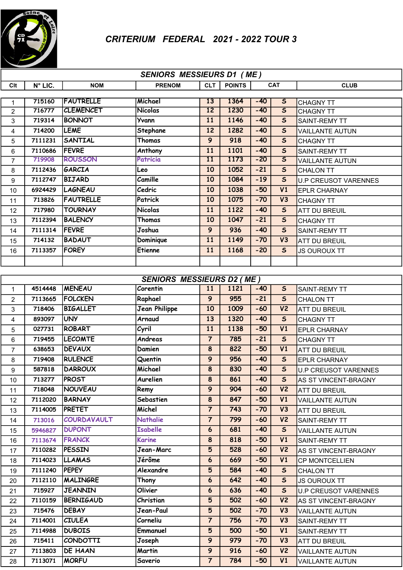

| <b>SENIORS MESSIEURS D1 (ME)</b> |         |                  |                      |                 |               |            |                         |                                      |  |  |
|----------------------------------|---------|------------------|----------------------|-----------------|---------------|------------|-------------------------|--------------------------------------|--|--|
| Clt                              | N° LIC. | <b>NOM</b>       | <b>PRENOM</b>        | <b>CLT</b>      | <b>POINTS</b> | <b>CAT</b> |                         | <b>CLUB</b>                          |  |  |
|                                  | 715160  | <b>FAUTRELLE</b> | Michael              | 13              | 1364          | $-40$      | $\overline{\mathsf{s}}$ |                                      |  |  |
| $\mathbf{1}$<br>$\overline{2}$   | 716777  | <b>CLEMENCET</b> | <b>Nicolas</b>       | 12              | 1230          | $-40$      | $\overline{\mathsf{s}}$ | <b>CHAGNY TT</b><br><b>CHAGNY TT</b> |  |  |
| 3                                | 719314  | <b>BONNOT</b>    | Yvann                | 11              | 1146          | $-40$      | $\mathsf{s}$            | <b>SAINT-REMY TT</b>                 |  |  |
| 4                                | 714200  | <b>LEME</b>      | Stephane             | 12              | 1282          | $-40$      | $\mathsf{s}$            | <b>VAILLANTE AUTUN</b>               |  |  |
| 5                                | 7111231 | <b>SANTIAL</b>   | Thomas               | $\overline{9}$  | 918           | $-40$      | $\mathsf{s}$            | <b>CHAGNY TT</b>                     |  |  |
| 6                                | 7110686 | <b>FEVRE</b>     | Anthony              | 11              | 1101          | $-40$      | $\mathsf{s}$            | <b>SAINT-REMY TT</b>                 |  |  |
| $\overline{7}$                   | 719908  | <b>ROUSSON</b>   | Patricia             | $\overline{11}$ | 1173          | $-20$      | $\overline{\mathsf{s}}$ | <b>VAILLANTE AUTUN</b>               |  |  |
| 8                                | 7112436 | GARCIA           | Leo                  | 10              | 1052          | $-21$      | $\mathsf{s}$            | <b>CHALON TT</b>                     |  |  |
| 9                                | 7112747 | <b>BIJARD</b>    | Camille              | 10              | 1084          | $-19$      | $\mathsf{s}$            | <b>U.P CREUSOT VARENNES</b>          |  |  |
| 10                               | 6924429 | LAGNEAU          | Cedric               | 10              | 1038          | $-50$      | V1                      | <b>EPLR CHARNAY</b>                  |  |  |
| 11                               | 713826  | <b>FAUTRELLE</b> | Patrick              | 10              | 1075          | $-70$      | V3                      | <b>CHAGNY TT</b>                     |  |  |
| 12                               | 717980  | <b>TOURNAY</b>   | <b>Nicolas</b>       | 11              | 1122          | $-40$      | $\mathsf{s}$            | <b>ATT DU BREUIL</b>                 |  |  |
| 13                               | 7112394 | <b>BALENCY</b>   | Thomas               | 10              | 1047          | $-21$      | $\mathsf{s}$            | <b>CHAGNY TT</b>                     |  |  |
| 14                               | 7111314 | <b>FEVRE</b>     | Joshua               | 9               | 936           | $-40$      | $\mathsf{s}$            | <b>SAINT-REMY TT</b>                 |  |  |
| 15                               | 714132  | <b>BADAUT</b>    | Dominique            | 11              | 1149          | $-70$      | V3                      | <b>ATT DU BREUIL</b>                 |  |  |
| 16                               | 7113357 | <b>FOREY</b>     | <b>Etienne</b>       | 11              | 1168          | $-20$      | $\mathsf{s}$            | <b>JS OUROUX TT</b>                  |  |  |
|                                  |         |                  |                      |                 |               |            |                         |                                      |  |  |
|                                  |         |                  |                      |                 |               |            |                         |                                      |  |  |
| <b>SENIORS MESSIEURS D2 (ME)</b> |         |                  |                      |                 |               |            |                         |                                      |  |  |
| $\mathbf{1}$                     | 4514448 | <b>MENEAU</b>    | Corentin             | 11              | 1121          | $-40$      | $\mathsf{s}$            | SAINT-REMY TT                        |  |  |
| $\overline{c}$                   | 7113665 | <b>FOLCKEN</b>   | Raphael              | $\overline{9}$  | 955           | $-21$      | $\mathsf{s}$            | <b>CHALON TT</b>                     |  |  |
| 3                                | 718406  | <b>BIGALLET</b>  | <b>Jean Philippe</b> | 10              | 1009          | $-60$      | V <sub>2</sub>          | <b>ATT DU BREUIL</b>                 |  |  |
| 4                                | 893097  | UNY              | Arnaud               | 13              | 1320          | $-40$      | $\mathsf{s}$            | <b>CHAGNY TT</b>                     |  |  |
| 5                                | 027731  | <b>ROBART</b>    | Cyril                | 11              | 1138          | $-50$      | V1                      | <b>EPLR CHARNAY</b>                  |  |  |
| 6                                | 719455  | <b>LECOMTE</b>   | Andreas              | $\overline{7}$  | 785           | $-21$      | $\mathsf{s}$            | <b>CHAGNY TT</b>                     |  |  |
| $\overline{7}$                   | 638653  | <b>DEVAUX</b>    | Damien               | 8               | 822           | $-50$      | V1                      | <b>ATT DU BREUIL</b>                 |  |  |
| 8                                | 719408  | <b>RULENCE</b>   | Quentin              | $\overline{9}$  | 956           | $-40$      | $\mathsf{s}$            | <b>EPLR CHARNAY</b>                  |  |  |
| 9                                | 587818  | <b>DARROUX</b>   | Michael              | 8               | 830           | $-40$      | $\mathsf{s}$            | <b>U.P CREUSOT VARENNES</b>          |  |  |
| 10                               | 713277  | PROST            | Aurelien             | 8               | 861           | $-40$      | $\mathsf{s}$            | AS ST VINCENT-BRAGNY                 |  |  |
| 11                               | 718048  | <b>NOUVEAU</b>   | Remy                 | 9               | 904           | $-60$      | V <sub>2</sub>          | <b>ATT DU BREUIL</b>                 |  |  |
| 12 <sup>°</sup>                  | 7112020 | <b>BARNAY</b>    | Sebastien            | 8               | 847           | $-50$      | V1                      | <b>VAILLANTE AUTUN</b>               |  |  |
| 13                               | 7114005 | <b>PRETET</b>    | Michel               | $\overline{7}$  | 743           | $-70$      | V3                      | <b>ATT DU BREUIL</b>                 |  |  |
| 14                               | 713016  | COURDAVAULT      | <b>Nathalie</b>      | $\overline{7}$  | 799           | $-60$      | V <sub>2</sub>          | <b>SAINT-REMY TT</b>                 |  |  |
| 15                               | 5946827 | <b>DUPONT</b>    | <b>Isabelle</b>      | $6\phantom{1}6$ | 681           | $-40$      | $\mathsf{s}$            | <b>VAILLANTE AUTUN</b>               |  |  |
| 16                               | 7113674 | <b>FRANCK</b>    | Karine               | 8               | 818           | $-50$      | V1                      | <b>SAINT-REMY TT</b>                 |  |  |
| 17                               | 7110282 | PESSIN           | Jean-Marc            | 5               | 528           | $-60$      | V <sub>2</sub>          | AS ST VINCENT-BRAGNY                 |  |  |
| 18                               | 7114023 | <b>LLAMAS</b>    | Jérôme               | $6\overline{6}$ | 669           | $-50$      | V1                      | <b>CP MONTCELLIEN</b>                |  |  |
| 19                               | 7111240 | <b>PEPEY</b>     | Alexandre            | 5               | 584           | $-40$      | $\mathsf{S}$            | <b>CHALON TT</b>                     |  |  |
| 20                               | 7112110 | MALINGRE         | Thony                | $\mathbf 6$     | 642           | $-40$      | $\mathsf{s}$            | <b>JS OUROUX TT</b>                  |  |  |
| 21                               | 715927  | <b>JEANNIN</b>   | Olivier              | $6\phantom{1}6$ | 636           | $-40$      | $\mathsf{S}$            | <b>U.P CREUSOT VARENNES</b>          |  |  |
| 22                               | 7110159 | <b>BERNIGAUD</b> | Christian            | 5               | 502           | $-60$      | V <sub>2</sub>          | AS ST VINCENT-BRAGNY                 |  |  |
| 23                               | 715476  | <b>DEBAY</b>     | Jean-Paul            | $5\phantom{.}$  | 502           | $-70$      | V3                      | <b>VAILLANTE AUTUN</b>               |  |  |
| 24                               | 7114001 | <b>CIULEA</b>    | Corneliu             | $\overline{7}$  | 756           | $-70$      | V3                      | <b>SAINT-REMY TT</b>                 |  |  |
| 25                               | 7114988 | <b>DUBOIS</b>    | Emmanuel             | 5               | 500           | $-50$      | V1                      | SAINT-REMY TT                        |  |  |
| 26                               | 715411  | <b>CONDOTTI</b>  | Joseph               | 9               | 979           | $-70$      | V3                      | <b>ATT DU BREUIL</b>                 |  |  |
| 27                               | 7113803 | <b>DE HAAN</b>   | Martin               | 9               | 916           | $-60$      | V <sub>2</sub>          | <b>VAILLANTE AUTUN</b>               |  |  |
| 28                               | 7113071 | <b>MORFU</b>     | Saverio              | $\overline{7}$  | 784           | $-50$      | V1                      | <b>VAILLANTE AUTUN</b>               |  |  |